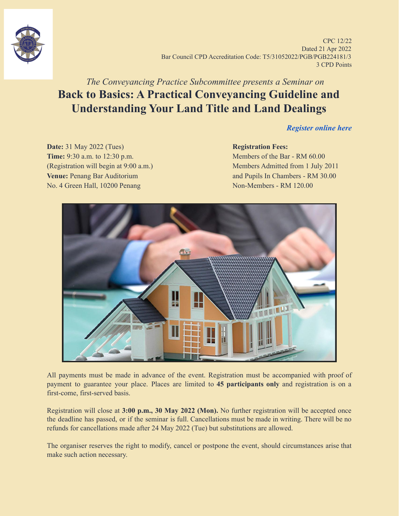

CPC 12/22 Dated 21 Apr 2022 Bar Council CPD Accreditation Code: T5/31052022/PGB/PGB224181/3 3 CPD Points

# *The Conveyancing Practice Subcommittee presents a Seminar on* **Back to Basics: A Practical Conveyancing Guideline and Understanding Your Land Title and Land Dealings**

*[Register online here](https://forms.gle/xgfJS1dwFGrRoRWbA)*

**Date:** 31 May 2022 (Tues) **Registration Fees: Time:** 9:30 a.m. to 12:30 p.m. **Members** of the Bar - RM 60.00 (Registration will begin at 9:00 a.m.) Members Admitted from 1 July 2011 **Venue:** Penang Bar Auditorium **and Pupils In Chambers - RM 30.00** No. 4 Green Hall, 10200 Penang Non-Members - RM 120.00



All payments must be made in advance of the event. Registration must be accompanied with proof of payment to guarantee your place. Places are limited to **45 participants only** and registration is on a first-come, first-served basis.

Registration will close at **3:00 p.m., 30 May 2022 (Mon).** No further registration will be accepted once the deadline has passed, or if the seminar is full. Cancellations must be made in writing. There will be no refunds for cancellations made after 24 May 2022 (Tue) but substitutions are allowed.

The organiser reserves the right to modify, cancel or postpone the event, should circumstances arise that make such action necessary.